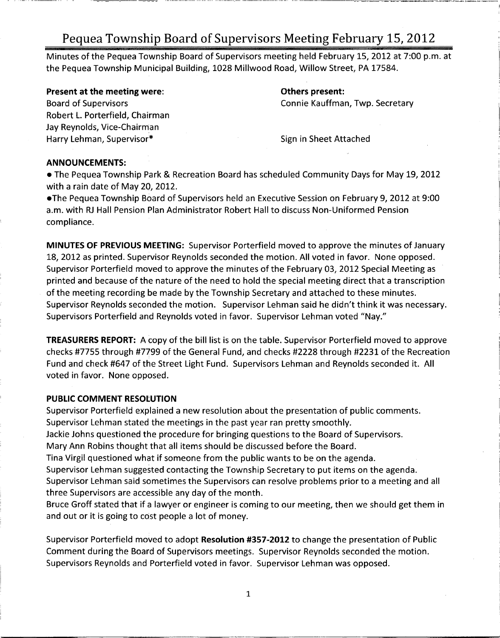Minutes of the Pequea Township Board of Supervisors meeting held February 15, 2012 at 7:00 p.m. at the Pequea Township Municipal Building, 1028 Millwood Road, Willow Street, PA 17584.

Present at the meeting were: The meeting of the meeting were: Others present:

Robert L. Porterfield, Chairman Jay Reynolds, Vice-Chairman Harry Lehman, Supervisor\* Sign in Sheet Attached

Board of Supervisors **Connie Kauffman, Twp. Secretary** 

### ANNOUNCEMENTS:

The Pequea Township Park & Recreation Board has scheduled Community Days for May 19, 2012 with <sup>a</sup> rain date of May 20, 2012.

The Pequea Township Board of Supervisors held an Executive Session on February 9, 2012 at 9:00 a.m. with RJ Hall Pension Plan Administrator Robert Hall to discuss Non - Uniformed Pension compliance.

MINUTES OF PREVIOUS MEETING: Supervisor Porterfield moved to approve the minutes of January 18, 2012 as printed. Supervisor Reynolds seconded the motion. All voted in favor. None opposed. Supervisor Porterfield moved to approve the minutes of the February 03, 2012 Special Meeting as printed and because of the nature of the need to hold the special meeting direct that <sup>a</sup> transcription of the meeting recording be made by the Township Secretary and attached to these minutes. Supervisor Reynolds seconded the motion. Supervisor Lehman said he didn't think it was necessary. Supervisors Porterfield and Reynolds voted in favor. Supervisor Lehman voted "Nay."

TREASURERS REPORT: A copy of the bill list is on the table. Supervisor Porterfield moved to approve checks #7755 through #7799 of the General Fund, and checks #2228 through #2231 of the Recreation Fund and check #647 of the Street Light Fund. Supervisors Lehman and Reynolds seconded it. All voted in favor. None opposed.

### PUBLIC COMMENT RESOLUTION

Supervisor Porterfield explained <sup>a</sup> new resolution about the presentation of public comments. Supervisor Lehman stated the meetings in the past year ran pretty smoothly.

Jackie Johns questioned the procedure for bringing questions to the Board of Supervisors.

Mary Ann Robins thought that all items should be discussed before the Board.

Tina Virgil questioned what if someone from the public wants to be on the agenda.

Supervisor Lehman suggested contacting the Township Secretary to put items on the agenda. Supervisor Lehman said sometimes the Supervisors can resolve problems prior to a meeting and all three Supervisors are accessible any day of the month.

Bruce Groff stated that if <sup>a</sup> lawyer or engineer is coming to our meeting, then we should get them in and out or it is going to cost people <sup>a</sup> lot of money.

Supervisor Porterfield moved to adopt Resolution #357-2012 to change the presentation of Public Comment during the Board of Supervisors meetings. Supervisor Reynolds seconded the motion. Supervisors Reynolds and Porterfield voted in favor. Supervisor Lehman was opposed.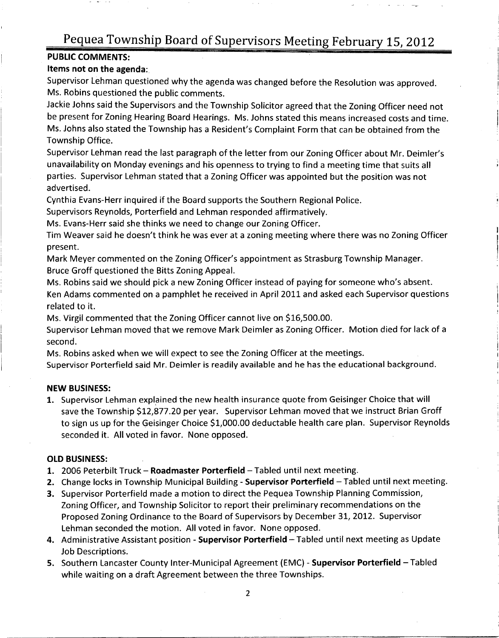#### PUBLIC COMMENTS:

#### Items not on the agenda:

Supervisor Lehman questioned why the agenda was changed before the Resolution was approved. Ms. Robins questioned the public comments.

Jackie Johns said the Supervisors and the Township Solicitor agreed that the Zoning Officer need not be present for Zoning Hearing Board Hearings. Ms. Johns stated this means increased costs and time. Ms. Johns also stated the Township has a Resident's Complaint Form that can be obtained from the Township Office.

Supervisor Lehman read the last paragraph of the letter from our Zoning Officer about Mr. Deimler's unavailability on Monday evenings and his openness to trying to find <sup>a</sup> meeting time that suits all parties. Supervisor Lehman stated that <sup>a</sup> Zoning Officer was appointed but the position was not advertised.

Cynthia Evans -Herr inquired if the Board supports the Southern Regional Police.

Supervisors Reynolds, Porterfield and Lehman responded affirmatively.

Ms. Evans-Herr said she thinks we need to change our Zoning Officer.

Tim Weaver said he doesn't think he was ever at a zoning meeting where there was no Zoning Officer present.

Mark Meyer commented on the Zoning Officer's appointment as Strasburg Township Manager. Bruce Groff questioned the Bitts Zoning Appeal.

Ms. Robins said we should pick <sup>a</sup> new Zoning Officer instead of paying for someone who's absent.

Ken Adams commented on a pamphlet he received in April 2011 and asked each Supervisor questions<br>related to it.<br>Ms. Virgil commented that the Zoning Officer cannot live on \$16,500.00.<br>Supervisor Lehman moved that we remove related to it.

Supervisor Lehman moved that we remove Mark Deimler as Zoning Officer. Motion died for lack of <sup>a</sup> second.

Ms. Robins asked when we will expect to see the Zoning Officer at the meetings.

Supervisor Porterfield said Mr. Deimler is readily available and he has the educational background.

#### NEW BUSINESS:

1. Supervisor Lehman explained the new health insurance quote from Geisinger Choice that will save the Township \$12,877.20 per year. Supervisor Lehman moved that we instruct Brian Groff to sign us up for the Geisinger Choice \$1,000.00 deductable health care plan. Supervisor Reynolds seconded it. All voted in favor. None opposed.

#### OLD BUSINESS:

- 1. 2006 Peterbilt Truck Roadmaster Porterfield Tabled until next meeting.
- 2. Change locks in Township Municipal Building Supervisor Porterfield Tabled until next meeting.
- 3. Supervisor Porterfield made <sup>a</sup> motion to direct the Pequea Township Planning Commission, Zoning Officer, and Township Solicitor to report their preliminary recommendations on the Proposed Zoning Ordinance to the Board of Supervisors by December 31, 2012. Supervisor Lehman seconded the motion. All voted in favor. None opposed.
- 4. Administrative Assistant position Supervisor Porterfield Tabled until next meeting as Update Job Descriptions.
- 5. Southern Lancaster County Inter-Municipal Agreement (EMC) Supervisor Porterfield Tabled while waiting on <sup>a</sup> draft Agreement between the three Townships.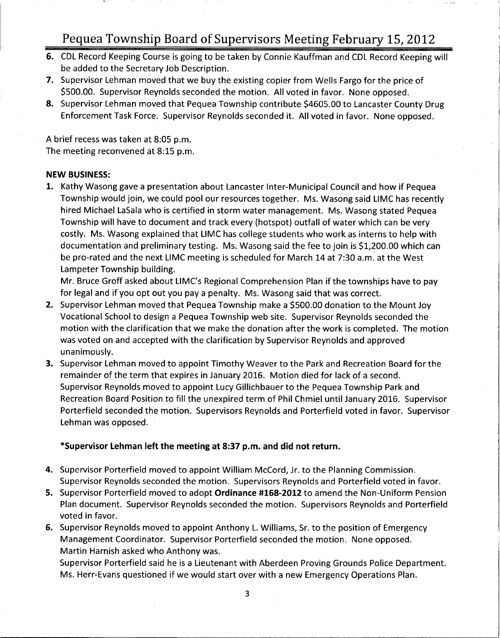- 6. CDL Record Keeping Course is going to be taken by Connie Kauffman and CDL Record Keeping will be added to the Secretary Job Description.
- 7. Supervisor Lehman moved that we buy the existing copier from Wells Fargo for the price of 500.00. Supervisor Reynolds seconded the motion. All voted in favor. None opposed.
- 8. Supervisor Lehman moved that Pequea Township contribute \$4605.00 to Lancaster County Drug Enforcement Task Force. Supervisor Reynolds seconded it. All voted in favor. None opposed.

<sup>A</sup> brief recess was taken at 8:05 p.m. The meeting reconvened at 8:15 p.m.

#### NEW BUSINESS:

1. Kathy Wasong gave <sup>a</sup> presentation about Lancaster Inter - Municipal Council and how if Pequea Township would join, we could pool our resources together. Ms. Wasong said LIMC has recently hired Michael LaSala who is certified in storm water management. Ms. Wasong stated Pequea Township will have to document and track every (hotspot) outfall of water which can be very costly. Ms. Wasong explained that LIMC has college students who work as interns to help with downship win have to document and track every (notspot) outlair or water which can be very<br>costly. Ms. Wasong explained that LIMC has college students who work as interns to help with<br>documentation and preliminary testing. be pro -rated and the next LIMC meeting is scheduled for March <sup>14</sup> at 7:30 a.m. at the West Lampeter Township building.

Mr. Bruce Groff asked about LIMC's Regional Comprehension Plan if the townships have to pay for legal and if you opt out you pay <sup>a</sup> penalty. Ms. Wasong said that was correct.

- 2. Supervisor Lehman moved that Pequea Township make a \$500.00 donation to the Mount Joy Vocational School to design <sup>a</sup> Pequea Township web site. Supervisor Reynolds seconded the motion with the clarification that we make the donation after the work is completed. The motion was voted on and accepted with the clarification by Supervisor Reynolds and approved unanimously.
- 3. Supervisor Lehman moved to appoint Timothy Weaver to the Park and Recreation Board for the remainder of the term that expires in January 2016. Motion died for lack of <sup>a</sup> second. Supervisor Reynolds moved to appoint Lucy Gillichbauer to the Pequea Township Park and Recreation Board Position to fill the unexpired term of Phil Chmiel until January 2016. Supervisor Porterfield seconded the motion. Supervisors Reynolds and Porterfield voted in favor. Supervisor Lehman was opposed.

### Supervisor Lehman left the meeting at 8:37 p.m. and did not return.

- 4. Supervisor Porterfield moved to appoint William McCord, Jr. to the Planning Commission. Supervisor Reynolds seconded the motion. Supervisors Reynolds and Porterfield voted in favor.
- 5. Supervisor Porterfield moved to adopt Ordinance #168-2012 to amend the Non-Uniform Pension Plan document. Supervisor Reynolds seconded the motion. Supervisors Reynolds and Porterfield voted in favor.
- 6. Supervisor Reynolds moved to appoint Anthony L. Williams, Sr. to the position of Emergency Management Coordinator. Supervisor Porterfield seconded the motion. None opposed. Martin Harnish asked who Anthony was.

Supervisor Porterfield said he is <sup>a</sup> Lieutenant with Aberdeen Proving Grounds Police Department. Ms. Herr -Evans questioned if we would start over with <sup>a</sup> new Emergency Operations Plan.

3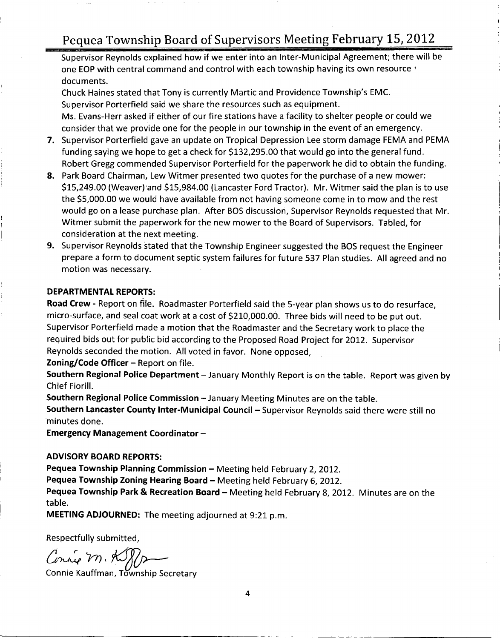Supervisor Reynolds explained how if we enter into an Inter - Municipal Agreement; there will be one EOP with central command and control with each township having its own resource<br>documents.<br>Chuck Haines stated that Tony is currently Martic and Providence Township's EMC.<br>Supervisor Porterfield said we share the resou documents.

Supervisor Porterfield said we share the resources such as equipment. Ms. Evans -Herr asked if either of our fire stations have <sup>a</sup> facility to shelter people or could we

- consider that we provide one for the people in our township in the event of an emergency.<br>Supervisor Porterfield gave an update on Tropical Depression Lee storm damage FEMA and<br>funding saying we hope to get a check for \$13 7. Supervisor Porterfield gave an update on Tropical Depression Lee storm damage FEMA and PEMA Robert Gregg commended Supervisor Porterfield for the paperwork he did to obtain the funding.
- 8. Park Board Chairman, Lew Witmer presented two quotes for the purchase of <sup>a</sup> new mower: Robert Gregg commended Supervisor Porterfield for the paperwork he did to obtain the funding.<br>Park Board Chairman, Lew Witmer presented two quotes for the purchase of a new mower:<br>\$15,249.00 (Weaver) and \$15,984.00 (Lancas \$15, 249.00 (Weaver) and \$15, 984.00 (Lancaster Ford Tractor). Mr. Witmer said the plan is to use the \$5,000.00 we would have available from not having someone come in to mow and the rest would go on <sup>a</sup> lease purchase plan. After BOS discussion, Supervisor Reynolds requested that Mr. Witmer submit the paperwork for the new mower to the Board of Supervisors. Tabled, for consideration at the next meeting.
- 9. Supervisor Reynolds stated that the Township Engineer suggested the BOS request the Engineer prepare <sup>a</sup> form to document septic system failures for future 537 Plan studies. All agreed and no motion was necessary.

#### DEPARTMENTAL REPORTS:

Road Crew - Report on file. Roadmaster Porterfield said the 5-year plan shows us to do resurface, **DEPARTMENTAL REPORTS:**<br>**Road Crew -** Report on file. Roadmaster Porterfield said the 5-year plan shows us to do resurfa<br>micro-surface, and seal coat work at a cost of \$210,000.00. Three bids will need to be put out.<br>Super Supervisor Porterfield made <sup>a</sup> motion that the Roadmaster and the Secretary work to place the required bids out for public bid according to the Proposed Road Project for 2012. Supervisor Reynolds seconded the motion. All voted in favor. None opposed,

Zoning/Code Officer  $-$  Report on file.

Southern Regional Police Department - January Monthly Report is on the table. Report was given by Chief Fiorill.

Southern Regional Police Commission — January Meeting Minutes are on the table.

Southern Lancaster County Inter-Municipal Council - Supervisor Reynolds said there were still no minutes done.

Emergency Management Coordinator —

#### ADVISORY BOARD REPORTS:

Pequea Township Planning Commission — Meeting held February 2, 2012.

Pequea Township Zoning Hearing Board — Meeting held February 6, 2012.

Pequea Township Park & Recreation Board — Meeting held February 8, 2012. Minutes are on the table.

MEETING ADJOURNED: The meeting adjourned at 9:21 p.m.

Respectfully submitted,

Connie M. Komponent<br>Connie Kauffman, Township Secretary